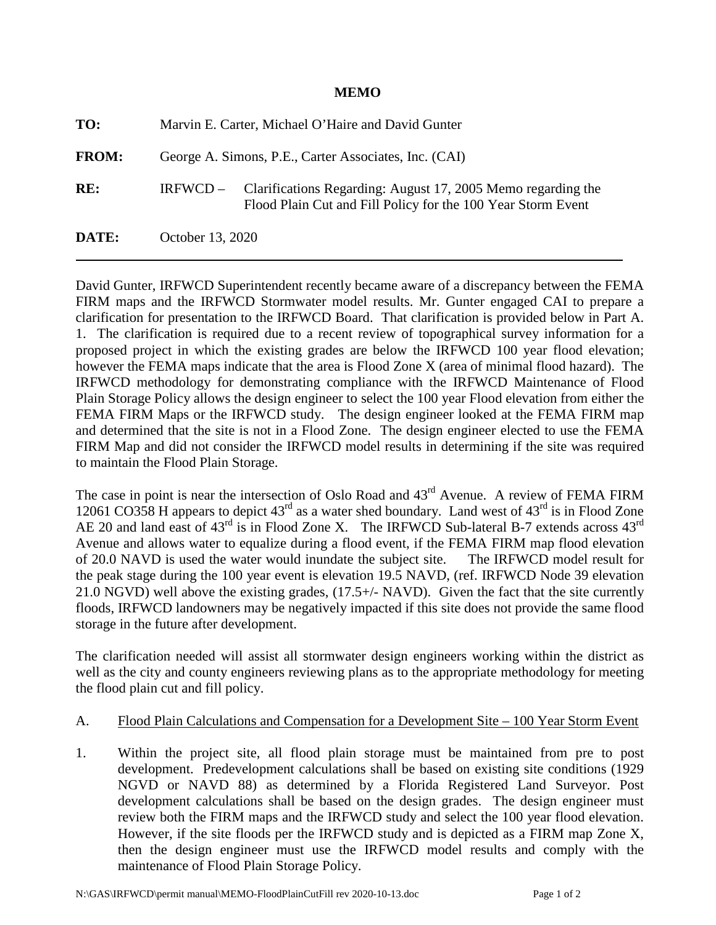## **MEMO**

| TO:          | Marvin E. Carter, Michael O'Haire and David Gunter                                                                                         |
|--------------|--------------------------------------------------------------------------------------------------------------------------------------------|
| <b>FROM:</b> | George A. Simons, P.E., Carter Associates, Inc. (CAI)                                                                                      |
| RE:          | Clarifications Regarding: August 17, 2005 Memo regarding the<br>$IRFWCD -$<br>Flood Plain Cut and Fill Policy for the 100 Year Storm Event |
| DATE:        | October 13, 2020                                                                                                                           |

David Gunter, IRFWCD Superintendent recently became aware of a discrepancy between the FEMA FIRM maps and the IRFWCD Stormwater model results. Mr. Gunter engaged CAI to prepare a clarification for presentation to the IRFWCD Board. That clarification is provided below in Part A. 1. The clarification is required due to a recent review of topographical survey information for a proposed project in which the existing grades are below the IRFWCD 100 year flood elevation; however the FEMA maps indicate that the area is Flood Zone X (area of minimal flood hazard). The IRFWCD methodology for demonstrating compliance with the IRFWCD Maintenance of Flood Plain Storage Policy allows the design engineer to select the 100 year Flood elevation from either the FEMA FIRM Maps or the IRFWCD study. The design engineer looked at the FEMA FIRM map and determined that the site is not in a Flood Zone. The design engineer elected to use the FEMA FIRM Map and did not consider the IRFWCD model results in determining if the site was required to maintain the Flood Plain Storage.

The case in point is near the intersection of Oslo Road and 43<sup>rd</sup> Avenue. A review of FEMA FIRM 12061 CO358 H appears to depict  $43<sup>rd</sup>$  as a water shed boundary. Land west of  $43<sup>rd</sup>$  is in Flood Zone AE 20 and land east of 43<sup>rd</sup> is in Flood Zone X. The IRFWCD Sub-lateral B-7 extends across 43<sup>rd</sup> Avenue and allows water to equalize during a flood event, if the FEMA FIRM map flood elevation of 20.0 NAVD is used the water would inundate the subject site. The IRFWCD model result for the peak stage during the 100 year event is elevation 19.5 NAVD, (ref. IRFWCD Node 39 elevation 21.0 NGVD) well above the existing grades, (17.5+/- NAVD). Given the fact that the site currently floods, IRFWCD landowners may be negatively impacted if this site does not provide the same flood storage in the future after development.

The clarification needed will assist all stormwater design engineers working within the district as well as the city and county engineers reviewing plans as to the appropriate methodology for meeting the flood plain cut and fill policy.

## A. Flood Plain Calculations and Compensation for a Development Site – 100 Year Storm Event

1. Within the project site, all flood plain storage must be maintained from pre to post development. Predevelopment calculations shall be based on existing site conditions (1929 NGVD or NAVD 88) as determined by a Florida Registered Land Surveyor. Post development calculations shall be based on the design grades. The design engineer must review both the FIRM maps and the IRFWCD study and select the 100 year flood elevation. However, if the site floods per the IRFWCD study and is depicted as a FIRM map Zone X, then the design engineer must use the IRFWCD model results and comply with the maintenance of Flood Plain Storage Policy.